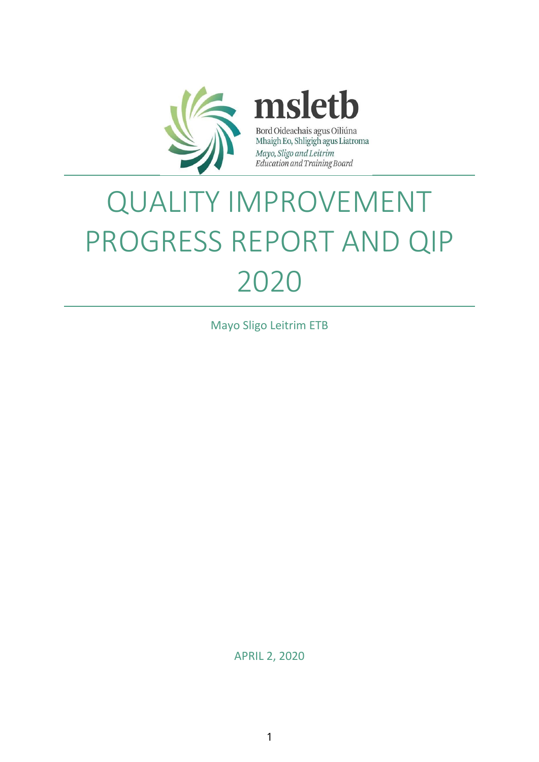

msletb Bord Oideachais agus Oiliúna Mhaigh Eo, Shligigh agus Liatroma Mayo, Sligo and Leitrim Education and Training Board

# QUALITY IMPROVEMENT PROGRESS REPORT AND QIP 2020

Mayo Sligo Leitrim ETB

APRIL 2, 2020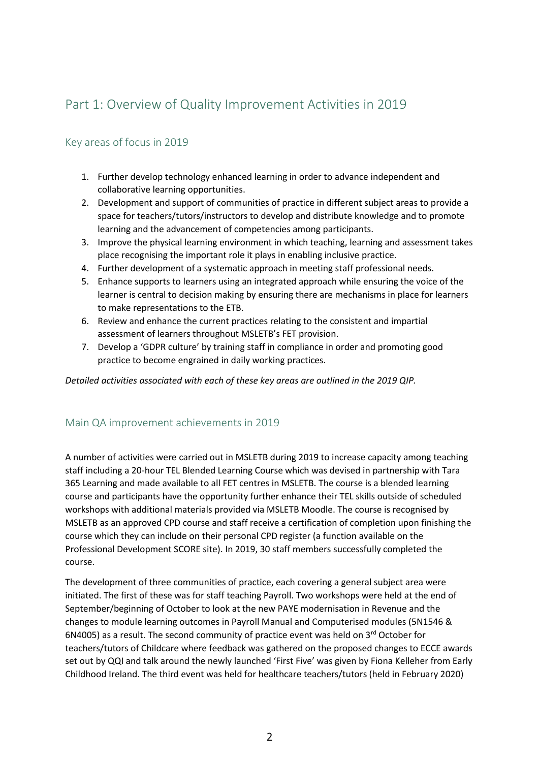### Part 1: Overview of Quality Improvement Activities in 2019

#### Key areas of focus in 2019

- 1. Further develop technology enhanced learning in order to advance independent and collaborative learning opportunities.
- 2. Development and support of communities of practice in different subject areas to provide a space for teachers/tutors/instructors to develop and distribute knowledge and to promote learning and the advancement of competencies among participants.
- 3. Improve the physical learning environment in which teaching, learning and assessment takes place recognising the important role it plays in enabling inclusive practice.
- 4. Further development of a systematic approach in meeting staff professional needs.
- 5. Enhance supports to learners using an integrated approach while ensuring the voice of the learner is central to decision making by ensuring there are mechanisms in place for learners to make representations to the ETB.
- 6. Review and enhance the current practices relating to the consistent and impartial assessment of learners throughout MSLETB's FET provision.
- 7. Develop a 'GDPR culture' by training staff in compliance in order and promoting good practice to become engrained in daily working practices.

*Detailed activities associated with each of these key areas are outlined in the 2019 QIP.*

#### Main QA improvement achievements in 2019

A number of activities were carried out in MSLETB during 2019 to increase capacity among teaching staff including a 20-hour TEL Blended Learning Course which was devised in partnership with Tara 365 Learning and made available to all FET centres in MSLETB. The course is a blended learning course and participants have the opportunity further enhance their TEL skills outside of scheduled workshops with additional materials provided via MSLETB Moodle. The course is recognised by MSLETB as an approved CPD course and staff receive a certification of completion upon finishing the course which they can include on their personal CPD register (a function available on the Professional Development SCORE site). In 2019, 30 staff members successfully completed the course.

The development of three communities of practice, each covering a general subject area were initiated. The first of these was for staff teaching Payroll. Two workshops were held at the end of September/beginning of October to look at the new PAYE modernisation in Revenue and the changes to module learning outcomes in Payroll Manual and Computerised modules (5N1546 & 6N4005) as a result. The second community of practice event was held on  $3<sup>rd</sup>$  October for teachers/tutors of Childcare where feedback was gathered on the proposed changes to ECCE awards set out by QQI and talk around the newly launched 'First Five' was given by Fiona Kelleher from Early Childhood Ireland. The third event was held for healthcare teachers/tutors (held in February 2020)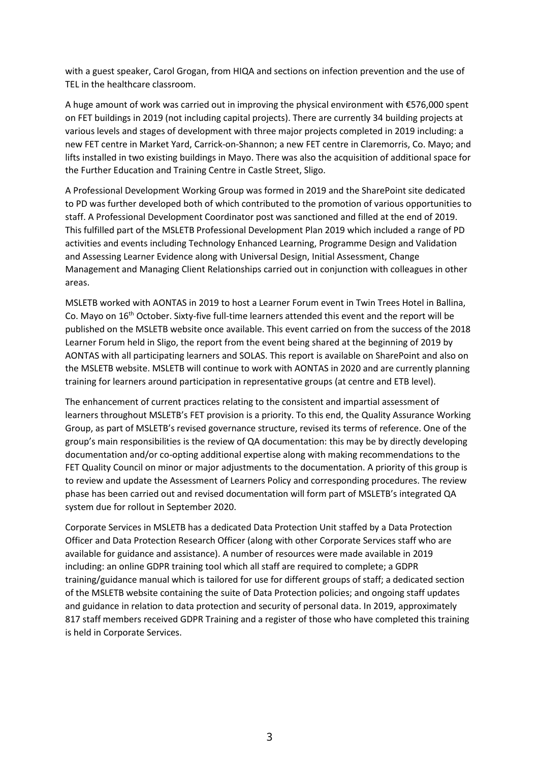with a guest speaker, Carol Grogan, from HIQA and sections on infection prevention and the use of TEL in the healthcare classroom.

A huge amount of work was carried out in improving the physical environment with €576,000 spent on FET buildings in 2019 (not including capital projects). There are currently 34 building projects at various levels and stages of development with three major projects completed in 2019 including: a new FET centre in Market Yard, Carrick-on-Shannon; a new FET centre in Claremorris, Co. Mayo; and lifts installed in two existing buildings in Mayo. There was also the acquisition of additional space for the Further Education and Training Centre in Castle Street, Sligo.

A Professional Development Working Group was formed in 2019 and the SharePoint site dedicated to PD was further developed both of which contributed to the promotion of various opportunities to staff. A Professional Development Coordinator post was sanctioned and filled at the end of 2019. This fulfilled part of the MSLETB Professional Development Plan 2019 which included a range of PD activities and events including Technology Enhanced Learning, Programme Design and Validation and Assessing Learner Evidence along with Universal Design, Initial Assessment, Change Management and Managing Client Relationships carried out in conjunction with colleagues in other areas.

MSLETB worked with AONTAS in 2019 to host a Learner Forum event in Twin Trees Hotel in Ballina, Co. Mayo on 16th October. Sixty-five full-time learners attended this event and the report will be published on the MSLETB website once available. This event carried on from the success of the 2018 Learner Forum held in Sligo, the report from the event being shared at the beginning of 2019 by AONTAS with all participating learners and SOLAS. This report is available on SharePoint and also on the MSLETB website. MSLETB will continue to work with AONTAS in 2020 and are currently planning training for learners around participation in representative groups (at centre and ETB level).

The enhancement of current practices relating to the consistent and impartial assessment of learners throughout MSLETB's FET provision is a priority. To this end, the Quality Assurance Working Group, as part of MSLETB's revised governance structure, revised its terms of reference. One of the group's main responsibilities is the review of QA documentation: this may be by directly developing documentation and/or co-opting additional expertise along with making recommendations to the FET Quality Council on minor or major adjustments to the documentation. A priority of this group is to review and update the Assessment of Learners Policy and corresponding procedures. The review phase has been carried out and revised documentation will form part of MSLETB's integrated QA system due for rollout in September 2020.

Corporate Services in MSLETB has a dedicated Data Protection Unit staffed by a Data Protection Officer and Data Protection Research Officer (along with other Corporate Services staff who are available for guidance and assistance). A number of resources were made available in 2019 including: an online GDPR training tool which all staff are required to complete; a GDPR training/guidance manual which is tailored for use for different groups of staff; a dedicated section of the MSLETB website containing the suite of Data Protection policies; and ongoing staff updates and guidance in relation to data protection and security of personal data. In 2019, approximately 817 staff members received GDPR Training and a register of those who have completed this training is held in Corporate Services.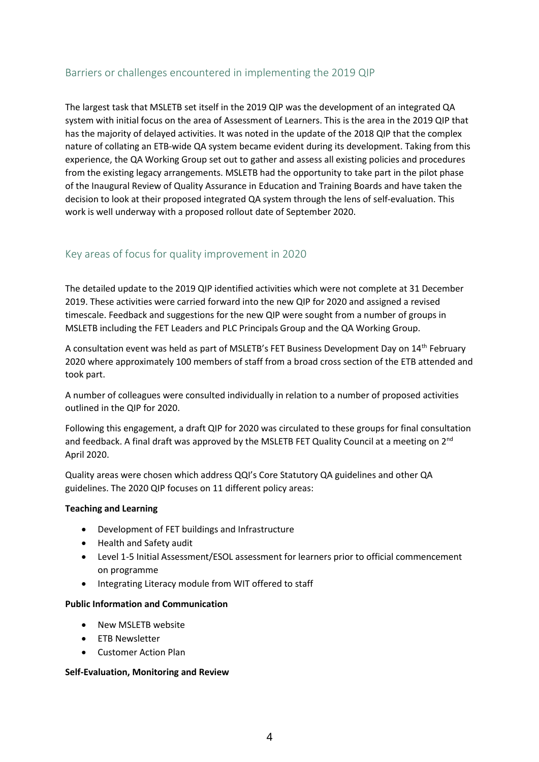#### Barriers or challenges encountered in implementing the 2019 QIP

The largest task that MSLETB set itself in the 2019 QIP was the development of an integrated QA system with initial focus on the area of Assessment of Learners. This is the area in the 2019 QIP that has the majority of delayed activities. It was noted in the update of the 2018 QIP that the complex nature of collating an ETB-wide QA system became evident during its development. Taking from this experience, the QA Working Group set out to gather and assess all existing policies and procedures from the existing legacy arrangements. MSLETB had the opportunity to take part in the pilot phase of the Inaugural Review of Quality Assurance in Education and Training Boards and have taken the decision to look at their proposed integrated QA system through the lens of self-evaluation. This work is well underway with a proposed rollout date of September 2020.

#### Key areas of focus for quality improvement in 2020

The detailed update to the 2019 QIP identified activities which were not complete at 31 December 2019. These activities were carried forward into the new QIP for 2020 and assigned a revised timescale. Feedback and suggestions for the new QIP were sought from a number of groups in MSLETB including the FET Leaders and PLC Principals Group and the QA Working Group.

A consultation event was held as part of MSLETB's FET Business Development Day on 14th February 2020 where approximately 100 members of staff from a broad cross section of the ETB attended and took part.

A number of colleagues were consulted individually in relation to a number of proposed activities outlined in the QIP for 2020.

Following this engagement, a draft QIP for 2020 was circulated to these groups for final consultation and feedback. A final draft was approved by the MSLETB FET Quality Council at a meeting on  $2^{nd}$ April 2020.

Quality areas were chosen which address QQI's Core Statutory QA guidelines and other QA guidelines. The 2020 QIP focuses on 11 different policy areas:

#### **Teaching and Learning**

- Development of FET buildings and Infrastructure
- Health and Safety audit
- Level 1-5 Initial Assessment/ESOL assessment for learners prior to official commencement on programme
- Integrating Literacy module from WIT offered to staff

#### **Public Information and Communication**

- New MSLETB website
- ETB Newsletter
- Customer Action Plan

#### **Self-Evaluation, Monitoring and Review**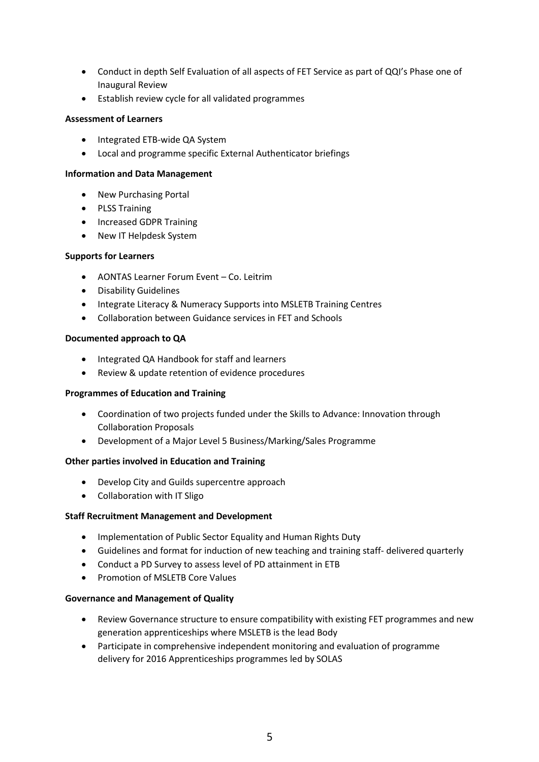- Conduct in depth Self Evaluation of all aspects of FET Service as part of QQI's Phase one of Inaugural Review
- Establish review cycle for all validated programmes

#### **Assessment of Learners**

- Integrated ETB-wide QA System
- Local and programme specific External Authenticator briefings

#### **Information and Data Management**

- New Purchasing Portal
- PLSS Training
- Increased GDPR Training
- New IT Helpdesk System

#### **Supports for Learners**

- AONTAS Learner Forum Event Co. Leitrim
- Disability Guidelines
- Integrate Literacy & Numeracy Supports into MSLETB Training Centres
- Collaboration between Guidance services in FET and Schools

#### **Documented approach to QA**

- Integrated QA Handbook for staff and learners
- Review & update retention of evidence procedures

#### **Programmes of Education and Training**

- Coordination of two projects funded under the Skills to Advance: Innovation through Collaboration Proposals
- Development of a Major Level 5 Business/Marking/Sales Programme

#### **Other parties involved in Education and Training**

- Develop City and Guilds supercentre approach
- Collaboration with IT Sligo

#### **Staff Recruitment Management and Development**

- Implementation of Public Sector Equality and Human Rights Duty
- Guidelines and format for induction of new teaching and training staff- delivered quarterly
- Conduct a PD Survey to assess level of PD attainment in ETB
- Promotion of MSLETB Core Values

#### **Governance and Management of Quality**

- Review Governance structure to ensure compatibility with existing FET programmes and new generation apprenticeships where MSLETB is the lead Body
- Participate in comprehensive independent monitoring and evaluation of programme delivery for 2016 Apprenticeships programmes led by SOLAS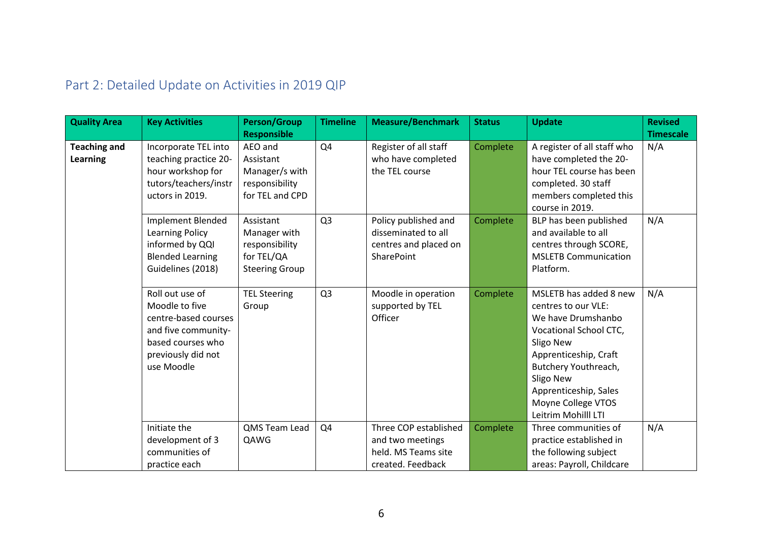| <b>Quality Area</b>             | <b>Key Activities</b>                                                                                                                     | <b>Person/Group</b><br><b>Responsible</b>                                          | <b>Timeline</b> | <b>Measure/Benchmark</b>                                                                  | <b>Status</b> | <b>Update</b>                                                                                                                                                                                                                                  | <b>Revised</b><br><b>Timescale</b> |
|---------------------------------|-------------------------------------------------------------------------------------------------------------------------------------------|------------------------------------------------------------------------------------|-----------------|-------------------------------------------------------------------------------------------|---------------|------------------------------------------------------------------------------------------------------------------------------------------------------------------------------------------------------------------------------------------------|------------------------------------|
| <b>Teaching and</b><br>Learning | Incorporate TEL into<br>teaching practice 20-<br>hour workshop for<br>tutors/teachers/instr<br>uctors in 2019.                            | AEO and<br>Assistant<br>Manager/s with<br>responsibility<br>for TEL and CPD        | Q4              | Register of all staff<br>who have completed<br>the TEL course                             | Complete      | A register of all staff who<br>have completed the 20-<br>hour TEL course has been<br>completed. 30 staff<br>members completed this<br>course in 2019.                                                                                          | N/A                                |
|                                 | <b>Implement Blended</b><br><b>Learning Policy</b><br>informed by QQI<br><b>Blended Learning</b><br>Guidelines (2018)                     | Assistant<br>Manager with<br>responsibility<br>for TEL/QA<br><b>Steering Group</b> | Q <sub>3</sub>  | Policy published and<br>disseminated to all<br>centres and placed on<br><b>SharePoint</b> | Complete      | BLP has been published<br>and available to all<br>centres through SCORE,<br><b>MSLETB Communication</b><br>Platform.                                                                                                                           | N/A                                |
|                                 | Roll out use of<br>Moodle to five<br>centre-based courses<br>and five community-<br>based courses who<br>previously did not<br>use Moodle | <b>TEL Steering</b><br>Group                                                       | Q <sub>3</sub>  | Moodle in operation<br>supported by TEL<br>Officer                                        | Complete      | MSLETB has added 8 new<br>centres to our VLE:<br>We have Drumshanbo<br>Vocational School CTC,<br>Sligo New<br>Apprenticeship, Craft<br>Butchery Youthreach,<br>Sligo New<br>Apprenticeship, Sales<br>Moyne College VTOS<br>Leitrim Mohilll LTI | N/A                                |
|                                 | Initiate the<br>development of 3<br>communities of<br>practice each                                                                       | QMS Team Lead<br>QAWG                                                              | Q4              | Three COP established<br>and two meetings<br>held. MS Teams site<br>created. Feedback     | Complete      | Three communities of<br>practice established in<br>the following subject<br>areas: Payroll, Childcare                                                                                                                                          | N/A                                |

## Part 2: Detailed Update on Activities in 2019 QIP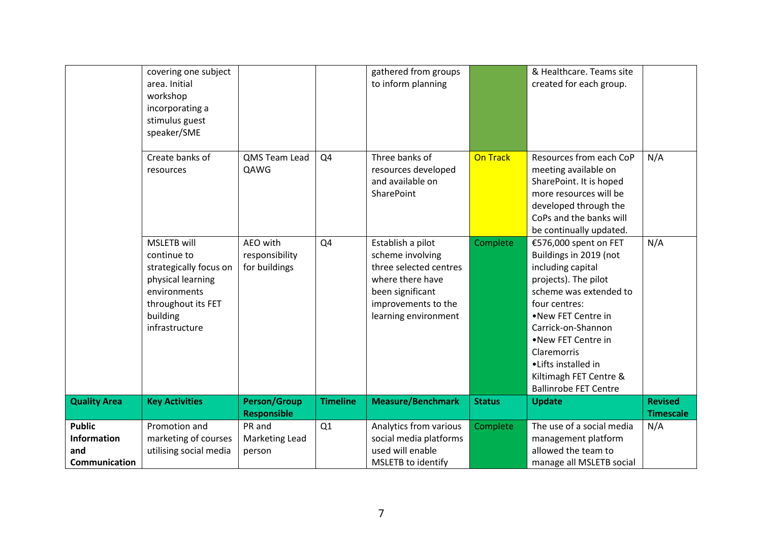|                                                             | covering one subject<br>area. Initial<br>workshop<br>incorporating a<br>stimulus guest<br>speaker/SME                                                |                                             |                 | gathered from groups<br>to inform planning                                                                                                             |                 | & Healthcare. Teams site<br>created for each group.                                                                                                                                                                                                                                                       |                                    |
|-------------------------------------------------------------|------------------------------------------------------------------------------------------------------------------------------------------------------|---------------------------------------------|-----------------|--------------------------------------------------------------------------------------------------------------------------------------------------------|-----------------|-----------------------------------------------------------------------------------------------------------------------------------------------------------------------------------------------------------------------------------------------------------------------------------------------------------|------------------------------------|
|                                                             | Create banks of<br>resources                                                                                                                         | QMS Team Lead<br>QAWG                       | Q4              | Three banks of<br>resources developed<br>and available on<br>SharePoint                                                                                | <b>On Track</b> | Resources from each CoP<br>meeting available on<br>SharePoint. It is hoped<br>more resources will be<br>developed through the<br>CoPs and the banks will<br>be continually updated.                                                                                                                       | N/A                                |
|                                                             | <b>MSLETB</b> will<br>continue to<br>strategically focus on<br>physical learning<br>environments<br>throughout its FET<br>building<br>infrastructure | AEO with<br>responsibility<br>for buildings | Q4              | Establish a pilot<br>scheme involving<br>three selected centres<br>where there have<br>been significant<br>improvements to the<br>learning environment | Complete        | €576,000 spent on FET<br>Buildings in 2019 (not<br>including capital<br>projects). The pilot<br>scheme was extended to<br>four centres:<br>.New FET Centre in<br>Carrick-on-Shannon<br>•New FET Centre in<br>Claremorris<br>•Lifts installed in<br>Kiltimagh FET Centre &<br><b>Ballinrobe FET Centre</b> | N/A                                |
| <b>Quality Area</b>                                         | <b>Key Activities</b>                                                                                                                                | <b>Person/Group</b><br><b>Responsible</b>   | <b>Timeline</b> | <b>Measure/Benchmark</b>                                                                                                                               | <b>Status</b>   | <b>Update</b>                                                                                                                                                                                                                                                                                             | <b>Revised</b><br><b>Timescale</b> |
| <b>Public</b><br><b>Information</b><br>and<br>Communication | Promotion and<br>marketing of courses<br>utilising social media                                                                                      | PR and<br>Marketing Lead<br>person          | Q1              | Analytics from various<br>social media platforms<br>used will enable<br>MSLETB to identify                                                             | Complete        | The use of a social media<br>management platform<br>allowed the team to<br>manage all MSLETB social                                                                                                                                                                                                       | N/A                                |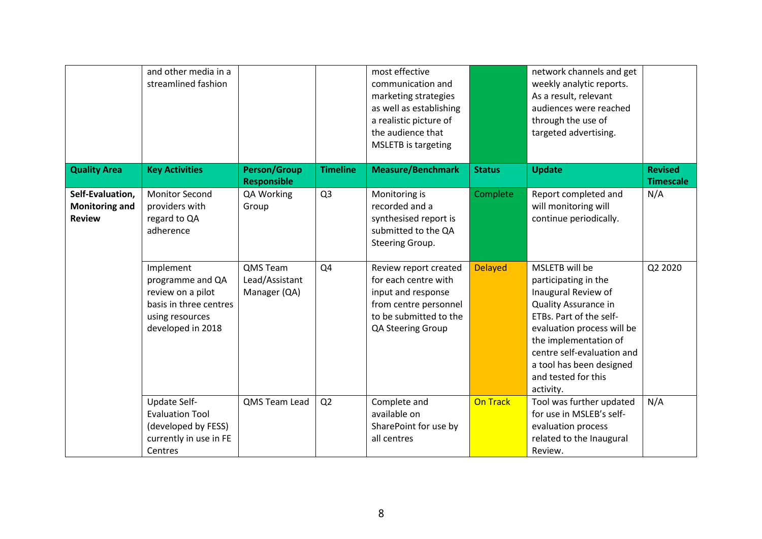|                                                            | and other media in a<br>streamlined fashion                                                                          |                                            |                 | most effective<br>communication and<br>marketing strategies<br>as well as establishing<br>a realistic picture of<br>the audience that<br><b>MSLETB</b> is targeting |                 | network channels and get<br>weekly analytic reports.<br>As a result, relevant<br>audiences were reached<br>through the use of<br>targeted advertising.                                                                                                                       |                                    |
|------------------------------------------------------------|----------------------------------------------------------------------------------------------------------------------|--------------------------------------------|-----------------|---------------------------------------------------------------------------------------------------------------------------------------------------------------------|-----------------|------------------------------------------------------------------------------------------------------------------------------------------------------------------------------------------------------------------------------------------------------------------------------|------------------------------------|
| <b>Quality Area</b>                                        | <b>Key Activities</b>                                                                                                | <b>Person/Group</b><br><b>Responsible</b>  | <b>Timeline</b> | <b>Measure/Benchmark</b>                                                                                                                                            | <b>Status</b>   | <b>Update</b>                                                                                                                                                                                                                                                                | <b>Revised</b><br><b>Timescale</b> |
| Self-Evaluation,<br><b>Monitoring and</b><br><b>Review</b> | <b>Monitor Second</b><br>providers with<br>regard to QA<br>adherence                                                 | QA Working<br>Group                        | Q <sub>3</sub>  | Monitoring is<br>recorded and a<br>synthesised report is<br>submitted to the QA<br>Steering Group.                                                                  | Complete        | Report completed and<br>will monitoring will<br>continue periodically.                                                                                                                                                                                                       | N/A                                |
|                                                            | Implement<br>programme and QA<br>review on a pilot<br>basis in three centres<br>using resources<br>developed in 2018 | QMS Team<br>Lead/Assistant<br>Manager (QA) | Q4              | Review report created<br>for each centre with<br>input and response<br>from centre personnel<br>to be submitted to the<br>QA Steering Group                         | <b>Delayed</b>  | MSLETB will be<br>participating in the<br>Inaugural Review of<br><b>Quality Assurance in</b><br>ETBs. Part of the self-<br>evaluation process will be<br>the implementation of<br>centre self-evaluation and<br>a tool has been designed<br>and tested for this<br>activity. | Q2 2020                            |
|                                                            | Update Self-<br><b>Evaluation Tool</b><br>(developed by FESS)<br>currently in use in FE<br>Centres                   | QMS Team Lead                              | Q2              | Complete and<br>available on<br>SharePoint for use by<br>all centres                                                                                                | <b>On Track</b> | Tool was further updated<br>for use in MSLEB's self-<br>evaluation process<br>related to the Inaugural<br>Review.                                                                                                                                                            | N/A                                |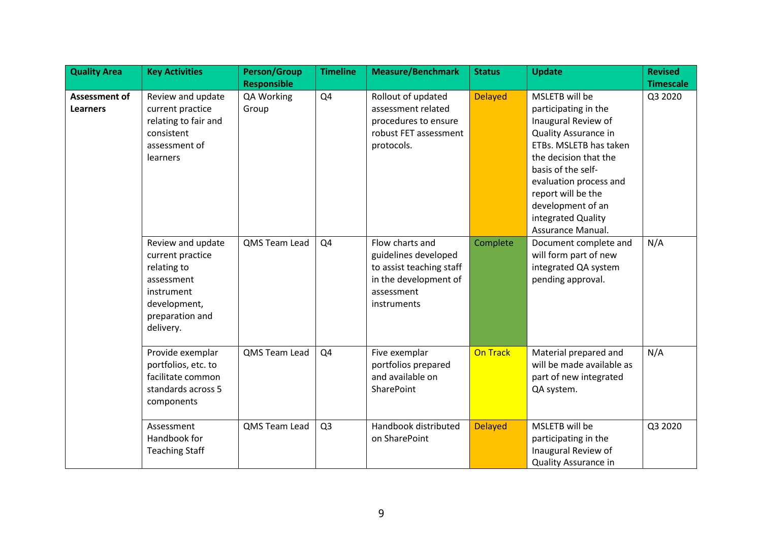| <b>Quality Area</b>                     | <b>Key Activities</b>                                                                                                            | <b>Person/Group</b> | <b>Timeline</b> | <b>Measure/Benchmark</b>                                                                                                  | <b>Status</b>   | <b>Update</b>                                                                                                                                                                                                                                                                         | <b>Revised</b>   |
|-----------------------------------------|----------------------------------------------------------------------------------------------------------------------------------|---------------------|-----------------|---------------------------------------------------------------------------------------------------------------------------|-----------------|---------------------------------------------------------------------------------------------------------------------------------------------------------------------------------------------------------------------------------------------------------------------------------------|------------------|
|                                         |                                                                                                                                  | <b>Responsible</b>  |                 |                                                                                                                           |                 |                                                                                                                                                                                                                                                                                       | <b>Timescale</b> |
| <b>Assessment of</b><br><b>Learners</b> | Review and update<br>current practice<br>relating to fair and<br>consistent<br>assessment of<br>learners                         | QA Working<br>Group | Q4              | Rollout of updated<br>assessment related<br>procedures to ensure<br>robust FET assessment<br>protocols.                   | <b>Delayed</b>  | MSLETB will be<br>participating in the<br>Inaugural Review of<br><b>Quality Assurance in</b><br>ETBs. MSLETB has taken<br>the decision that the<br>basis of the self-<br>evaluation process and<br>report will be the<br>development of an<br>integrated Quality<br>Assurance Manual. | Q3 2020          |
|                                         | Review and update<br>current practice<br>relating to<br>assessment<br>instrument<br>development,<br>preparation and<br>delivery. | QMS Team Lead       | Q <sub>4</sub>  | Flow charts and<br>guidelines developed<br>to assist teaching staff<br>in the development of<br>assessment<br>instruments | Complete        | Document complete and<br>will form part of new<br>integrated QA system<br>pending approval.                                                                                                                                                                                           | N/A              |
|                                         | Provide exemplar<br>portfolios, etc. to<br>facilitate common<br>standards across 5<br>components                                 | QMS Team Lead       | Q4              | Five exemplar<br>portfolios prepared<br>and available on<br>SharePoint                                                    | <b>On Track</b> | Material prepared and<br>will be made available as<br>part of new integrated<br>QA system.                                                                                                                                                                                            | N/A              |
|                                         | Assessment<br>Handbook for<br><b>Teaching Staff</b>                                                                              | QMS Team Lead       | Q <sub>3</sub>  | Handbook distributed<br>on SharePoint                                                                                     | <b>Delayed</b>  | MSLETB will be<br>participating in the<br>Inaugural Review of<br><b>Quality Assurance in</b>                                                                                                                                                                                          | Q3 2020          |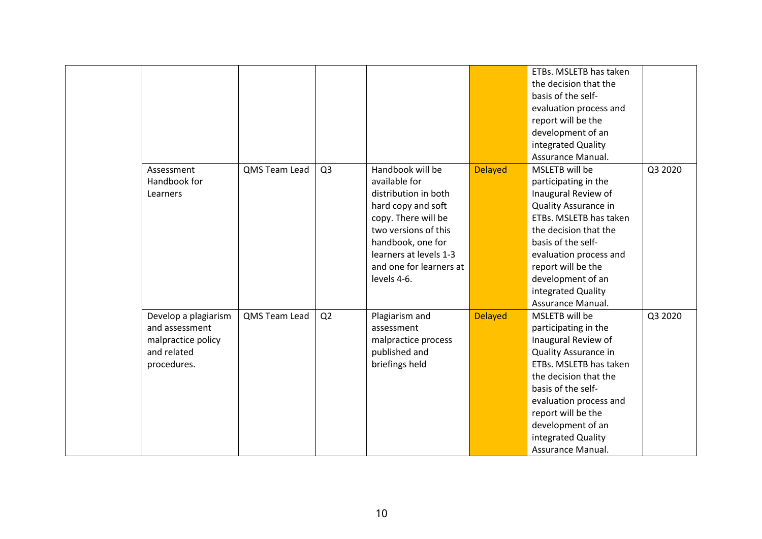|                      |               |                |                         |                | ETBs. MSLETB has taken      |         |
|----------------------|---------------|----------------|-------------------------|----------------|-----------------------------|---------|
|                      |               |                |                         |                | the decision that the       |         |
|                      |               |                |                         |                | basis of the self-          |         |
|                      |               |                |                         |                | evaluation process and      |         |
|                      |               |                |                         |                | report will be the          |         |
|                      |               |                |                         |                | development of an           |         |
|                      |               |                |                         |                | integrated Quality          |         |
|                      |               |                |                         |                | Assurance Manual.           |         |
| Assessment           | QMS Team Lead | Q <sub>3</sub> | Handbook will be        | <b>Delayed</b> | MSLETB will be              | Q3 2020 |
| Handbook for         |               |                | available for           |                | participating in the        |         |
| Learners             |               |                | distribution in both    |                | Inaugural Review of         |         |
|                      |               |                | hard copy and soft      |                | <b>Quality Assurance in</b> |         |
|                      |               |                | copy. There will be     |                | ETBs. MSLETB has taken      |         |
|                      |               |                | two versions of this    |                | the decision that the       |         |
|                      |               |                | handbook, one for       |                | basis of the self-          |         |
|                      |               |                | learners at levels 1-3  |                | evaluation process and      |         |
|                      |               |                | and one for learners at |                | report will be the          |         |
|                      |               |                | levels 4-6.             |                | development of an           |         |
|                      |               |                |                         |                | integrated Quality          |         |
|                      |               |                |                         |                | Assurance Manual.           |         |
| Develop a plagiarism | QMS Team Lead | Q2             | Plagiarism and          | <b>Delayed</b> | MSLETB will be              | Q3 2020 |
| and assessment       |               |                | assessment              |                | participating in the        |         |
| malpractice policy   |               |                | malpractice process     |                | Inaugural Review of         |         |
| and related          |               |                | published and           |                | Quality Assurance in        |         |
| procedures.          |               |                | briefings held          |                | ETBs. MSLETB has taken      |         |
|                      |               |                |                         |                | the decision that the       |         |
|                      |               |                |                         |                | basis of the self-          |         |
|                      |               |                |                         |                | evaluation process and      |         |
|                      |               |                |                         |                | report will be the          |         |
|                      |               |                |                         |                | development of an           |         |
|                      |               |                |                         |                | integrated Quality          |         |
|                      |               |                |                         |                | Assurance Manual.           |         |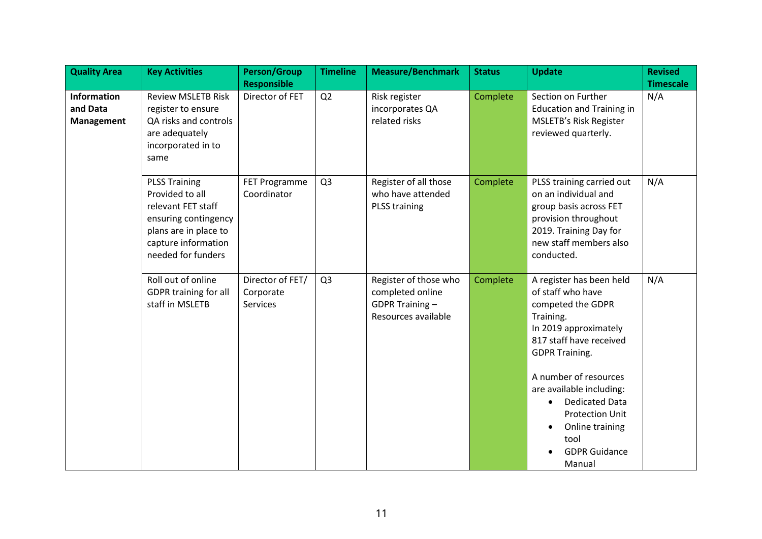| <b>Quality Area</b>                                 | <b>Key Activities</b>                                                                                                                                       | <b>Person/Group</b>                              | <b>Timeline</b> | <b>Measure/Benchmark</b>                                                           | <b>Status</b> | <b>Update</b>                                                                                                                                                                                                                                                                                                                                  | <b>Revised</b>   |
|-----------------------------------------------------|-------------------------------------------------------------------------------------------------------------------------------------------------------------|--------------------------------------------------|-----------------|------------------------------------------------------------------------------------|---------------|------------------------------------------------------------------------------------------------------------------------------------------------------------------------------------------------------------------------------------------------------------------------------------------------------------------------------------------------|------------------|
|                                                     |                                                                                                                                                             | <b>Responsible</b>                               |                 |                                                                                    |               |                                                                                                                                                                                                                                                                                                                                                | <b>Timescale</b> |
| <b>Information</b><br>and Data<br><b>Management</b> | <b>Review MSLETB Risk</b><br>register to ensure<br>QA risks and controls<br>are adequately<br>incorporated in to<br>same                                    | Director of FET                                  | Q2              | Risk register<br>incorporates QA<br>related risks                                  | Complete      | Section on Further<br><b>Education and Training in</b><br><b>MSLETB's Risk Register</b><br>reviewed quarterly.                                                                                                                                                                                                                                 | N/A              |
|                                                     | <b>PLSS Training</b><br>Provided to all<br>relevant FET staff<br>ensuring contingency<br>plans are in place to<br>capture information<br>needed for funders | FET Programme<br>Coordinator                     | Q <sub>3</sub>  | Register of all those<br>who have attended<br><b>PLSS training</b>                 | Complete      | PLSS training carried out<br>on an individual and<br>group basis across FET<br>provision throughout<br>2019. Training Day for<br>new staff members also<br>conducted.                                                                                                                                                                          | N/A              |
|                                                     | Roll out of online<br>GDPR training for all<br>staff in MSLETB                                                                                              | Director of FET/<br>Corporate<br><b>Services</b> | Q <sub>3</sub>  | Register of those who<br>completed online<br>GDPR Training-<br>Resources available | Complete      | A register has been held<br>of staff who have<br>competed the GDPR<br>Training.<br>In 2019 approximately<br>817 staff have received<br><b>GDPR Training.</b><br>A number of resources<br>are available including:<br><b>Dedicated Data</b><br>$\bullet$<br><b>Protection Unit</b><br>Online training<br>tool<br><b>GDPR Guidance</b><br>Manual | N/A              |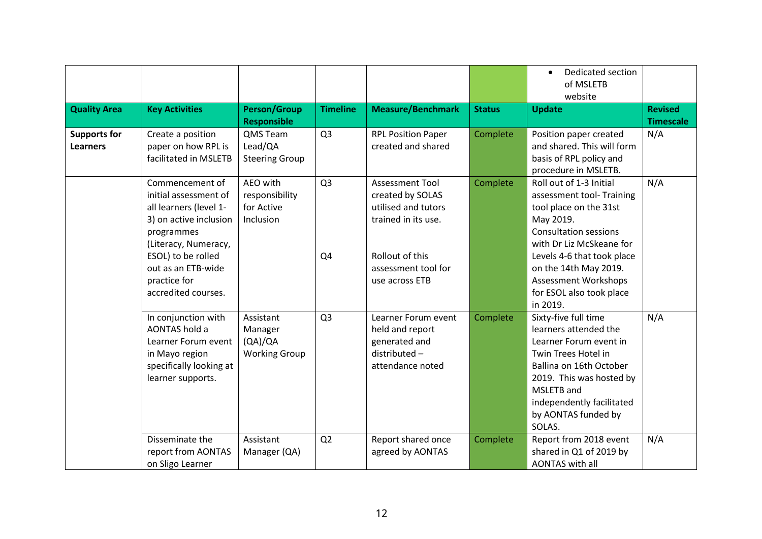|                                        |                                                                                                                                                                                                                       |                                                         |                      |                                                                                                                                                      |               | Dedicated section<br>$\bullet$<br>of MSLETB<br>website                                                                                                                                                                                                                                |                                    |
|----------------------------------------|-----------------------------------------------------------------------------------------------------------------------------------------------------------------------------------------------------------------------|---------------------------------------------------------|----------------------|------------------------------------------------------------------------------------------------------------------------------------------------------|---------------|---------------------------------------------------------------------------------------------------------------------------------------------------------------------------------------------------------------------------------------------------------------------------------------|------------------------------------|
| <b>Quality Area</b>                    | <b>Key Activities</b>                                                                                                                                                                                                 | <b>Person/Group</b><br><b>Responsible</b>               | <b>Timeline</b>      | <b>Measure/Benchmark</b>                                                                                                                             | <b>Status</b> | <b>Update</b>                                                                                                                                                                                                                                                                         | <b>Revised</b><br><b>Timescale</b> |
| <b>Supports for</b><br><b>Learners</b> | Create a position<br>paper on how RPL is<br>facilitated in MSLETB                                                                                                                                                     | QMS Team<br>Lead/QA<br><b>Steering Group</b>            | Q <sub>3</sub>       | <b>RPL Position Paper</b><br>created and shared                                                                                                      | Complete      | Position paper created<br>and shared. This will form<br>basis of RPL policy and<br>procedure in MSLETB.                                                                                                                                                                               | N/A                                |
|                                        | Commencement of<br>initial assessment of<br>all learners (level 1-<br>3) on active inclusion<br>programmes<br>(Literacy, Numeracy,<br>ESOL) to be rolled<br>out as an ETB-wide<br>practice for<br>accredited courses. | AEO with<br>responsibility<br>for Active<br>Inclusion   | Q <sub>3</sub><br>Q4 | <b>Assessment Tool</b><br>created by SOLAS<br>utilised and tutors<br>trained in its use.<br>Rollout of this<br>assessment tool for<br>use across ETB | Complete      | Roll out of 1-3 Initial<br>assessment tool- Training<br>tool place on the 31st<br>May 2019.<br><b>Consultation sessions</b><br>with Dr Liz McSkeane for<br>Levels 4-6 that took place<br>on the 14th May 2019.<br><b>Assessment Workshops</b><br>for ESOL also took place<br>in 2019. | N/A                                |
|                                        | In conjunction with<br>AONTAS hold a<br>Learner Forum event<br>in Mayo region<br>specifically looking at<br>learner supports.                                                                                         | Assistant<br>Manager<br>(QA)/QA<br><b>Working Group</b> | Q <sub>3</sub>       | Learner Forum event<br>held and report<br>generated and<br>distributed-<br>attendance noted                                                          | Complete      | Sixty-five full time<br>learners attended the<br>Learner Forum event in<br>Twin Trees Hotel in<br>Ballina on 16th October<br>2019. This was hosted by<br>MSLETB and<br>independently facilitated<br>by AONTAS funded by<br>SOLAS.                                                     | N/A                                |
|                                        | Disseminate the<br>report from AONTAS<br>on Sligo Learner                                                                                                                                                             | Assistant<br>Manager (QA)                               | Q2                   | Report shared once<br>agreed by AONTAS                                                                                                               | Complete      | Report from 2018 event<br>shared in Q1 of 2019 by<br><b>AONTAS with all</b>                                                                                                                                                                                                           | N/A                                |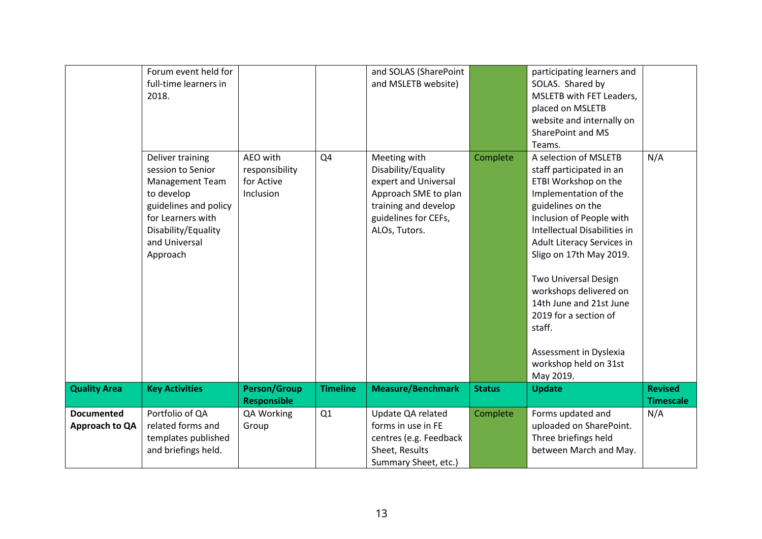|                                     | Forum event held for<br>full-time learners in<br>2018.                                                                                                                   |                                                       |                 | and SOLAS (SharePoint<br>and MSLETB website)                                                                                                         |               | participating learners and<br>SOLAS. Shared by<br>MSLETB with FET Leaders,<br>placed on MSLETB<br>website and internally on<br>SharePoint and MS<br>Teams.                                                                                                                                                                                                                                                                   |                                    |
|-------------------------------------|--------------------------------------------------------------------------------------------------------------------------------------------------------------------------|-------------------------------------------------------|-----------------|------------------------------------------------------------------------------------------------------------------------------------------------------|---------------|------------------------------------------------------------------------------------------------------------------------------------------------------------------------------------------------------------------------------------------------------------------------------------------------------------------------------------------------------------------------------------------------------------------------------|------------------------------------|
|                                     | Deliver training<br>session to Senior<br>Management Team<br>to develop<br>guidelines and policy<br>for Learners with<br>Disability/Equality<br>and Universal<br>Approach | AEO with<br>responsibility<br>for Active<br>Inclusion | Q4              | Meeting with<br>Disability/Equality<br>expert and Universal<br>Approach SME to plan<br>training and develop<br>guidelines for CEFs,<br>ALOs, Tutors. | Complete      | A selection of MSLETB<br>staff participated in an<br>ETBI Workshop on the<br>Implementation of the<br>guidelines on the<br>Inclusion of People with<br>Intellectual Disabilities in<br>Adult Literacy Services in<br>Sligo on 17th May 2019.<br>Two Universal Design<br>workshops delivered on<br>14th June and 21st June<br>2019 for a section of<br>staff.<br>Assessment in Dyslexia<br>workshop held on 31st<br>May 2019. | N/A                                |
| <b>Quality Area</b>                 | <b>Key Activities</b>                                                                                                                                                    | <b>Person/Group</b><br><b>Responsible</b>             | <b>Timeline</b> | <b>Measure/Benchmark</b>                                                                                                                             | <b>Status</b> | <b>Update</b>                                                                                                                                                                                                                                                                                                                                                                                                                | <b>Revised</b><br><b>Timescale</b> |
| <b>Documented</b><br>Approach to QA | Portfolio of QA<br>related forms and<br>templates published<br>and briefings held.                                                                                       | QA Working<br>Group                                   | Q1              | Update QA related<br>forms in use in FE<br>centres (e.g. Feedback<br>Sheet, Results<br>Summary Sheet, etc.)                                          | Complete      | Forms updated and<br>uploaded on SharePoint.<br>Three briefings held<br>between March and May.                                                                                                                                                                                                                                                                                                                               | N/A                                |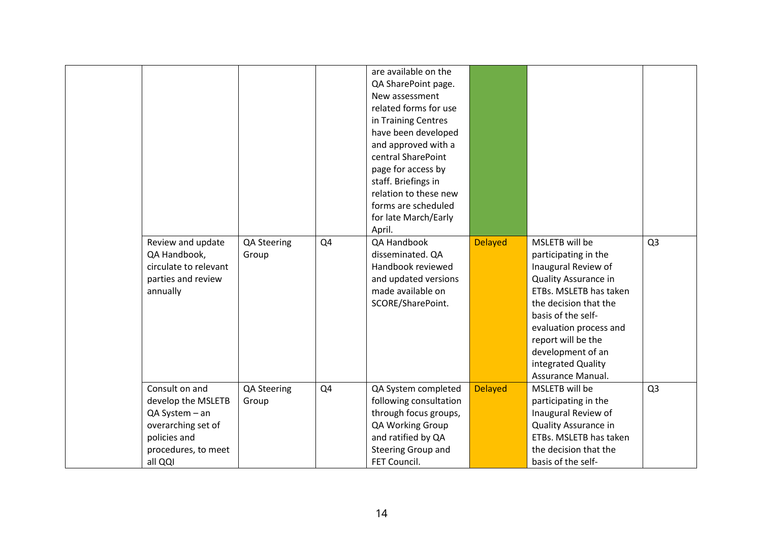|                       |             |    | are available on the   |                |                        |                |
|-----------------------|-------------|----|------------------------|----------------|------------------------|----------------|
|                       |             |    | QA SharePoint page.    |                |                        |                |
|                       |             |    | New assessment         |                |                        |                |
|                       |             |    | related forms for use  |                |                        |                |
|                       |             |    | in Training Centres    |                |                        |                |
|                       |             |    | have been developed    |                |                        |                |
|                       |             |    | and approved with a    |                |                        |                |
|                       |             |    | central SharePoint     |                |                        |                |
|                       |             |    | page for access by     |                |                        |                |
|                       |             |    | staff. Briefings in    |                |                        |                |
|                       |             |    | relation to these new  |                |                        |                |
|                       |             |    | forms are scheduled    |                |                        |                |
|                       |             |    | for late March/Early   |                |                        |                |
|                       |             |    | April.                 |                |                        |                |
| Review and update     | QA Steering | Q4 | QA Handbook            | <b>Delayed</b> | MSLETB will be         | Q <sub>3</sub> |
| QA Handbook,          | Group       |    | disseminated. QA       |                | participating in the   |                |
| circulate to relevant |             |    | Handbook reviewed      |                | Inaugural Review of    |                |
| parties and review    |             |    | and updated versions   |                | Quality Assurance in   |                |
| annually              |             |    | made available on      |                | ETBs. MSLETB has taken |                |
|                       |             |    | SCORE/SharePoint.      |                | the decision that the  |                |
|                       |             |    |                        |                | basis of the self-     |                |
|                       |             |    |                        |                | evaluation process and |                |
|                       |             |    |                        |                | report will be the     |                |
|                       |             |    |                        |                | development of an      |                |
|                       |             |    |                        |                | integrated Quality     |                |
|                       |             |    |                        |                | Assurance Manual.      |                |
| Consult on and        | QA Steering | Q4 | QA System completed    | <b>Delayed</b> | MSLETB will be         | Q <sub>3</sub> |
| develop the MSLETB    | Group       |    | following consultation |                | participating in the   |                |
| QA System - an        |             |    | through focus groups,  |                | Inaugural Review of    |                |
| overarching set of    |             |    | QA Working Group       |                | Quality Assurance in   |                |
| policies and          |             |    | and ratified by QA     |                | ETBs. MSLETB has taken |                |
| procedures, to meet   |             |    | Steering Group and     |                | the decision that the  |                |
| all QQI               |             |    | FET Council.           |                | basis of the self-     |                |
|                       |             |    |                        |                |                        |                |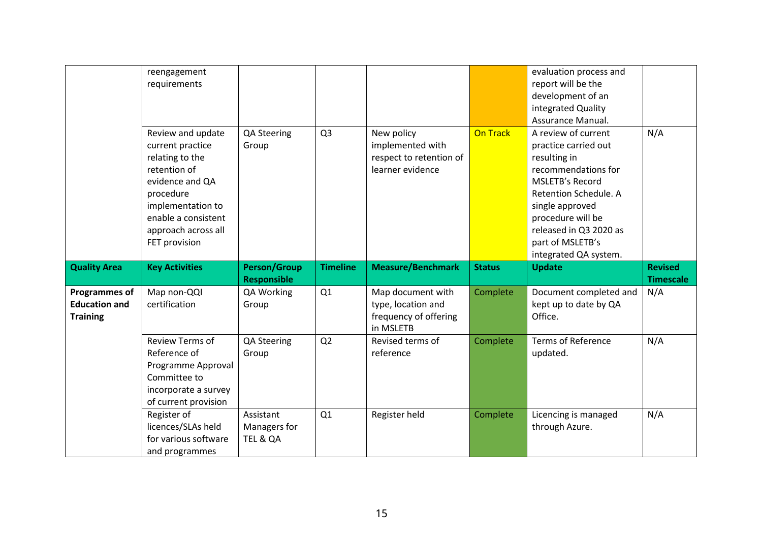|                                                                 | reengagement<br>requirements                                                                                                                                                                 |                                           |                 |                                                                               |               | evaluation process and<br>report will be the<br>development of an<br>integrated Quality<br>Assurance Manual.                                                                                                                                  |                                    |
|-----------------------------------------------------------------|----------------------------------------------------------------------------------------------------------------------------------------------------------------------------------------------|-------------------------------------------|-----------------|-------------------------------------------------------------------------------|---------------|-----------------------------------------------------------------------------------------------------------------------------------------------------------------------------------------------------------------------------------------------|------------------------------------|
|                                                                 | Review and update<br>current practice<br>relating to the<br>retention of<br>evidence and QA<br>procedure<br>implementation to<br>enable a consistent<br>approach across all<br>FET provision | QA Steering<br>Group                      | Q <sub>3</sub>  | New policy<br>implemented with<br>respect to retention of<br>learner evidence | On Track      | A review of current<br>practice carried out<br>resulting in<br>recommendations for<br>MSLETB's Record<br>Retention Schedule. A<br>single approved<br>procedure will be<br>released in Q3 2020 as<br>part of MSLETB's<br>integrated QA system. | N/A                                |
|                                                                 |                                                                                                                                                                                              |                                           |                 |                                                                               |               |                                                                                                                                                                                                                                               |                                    |
| <b>Quality Area</b>                                             | <b>Key Activities</b>                                                                                                                                                                        | <b>Person/Group</b><br><b>Responsible</b> | <b>Timeline</b> | <b>Measure/Benchmark</b>                                                      | <b>Status</b> | <b>Update</b>                                                                                                                                                                                                                                 | <b>Revised</b><br><b>Timescale</b> |
| <b>Programmes of</b><br><b>Education and</b><br><b>Training</b> | Map non-QQI<br>certification                                                                                                                                                                 | QA Working<br>Group                       | Q1              | Map document with<br>type, location and<br>frequency of offering<br>in MSLETB | Complete      | Document completed and<br>kept up to date by QA<br>Office.                                                                                                                                                                                    | N/A                                |
|                                                                 | <b>Review Terms of</b><br>Reference of<br>Programme Approval<br>Committee to<br>incorporate a survey<br>of current provision                                                                 | QA Steering<br>Group                      | Q2              | Revised terms of<br>reference                                                 | Complete      | <b>Terms of Reference</b><br>updated.                                                                                                                                                                                                         | N/A                                |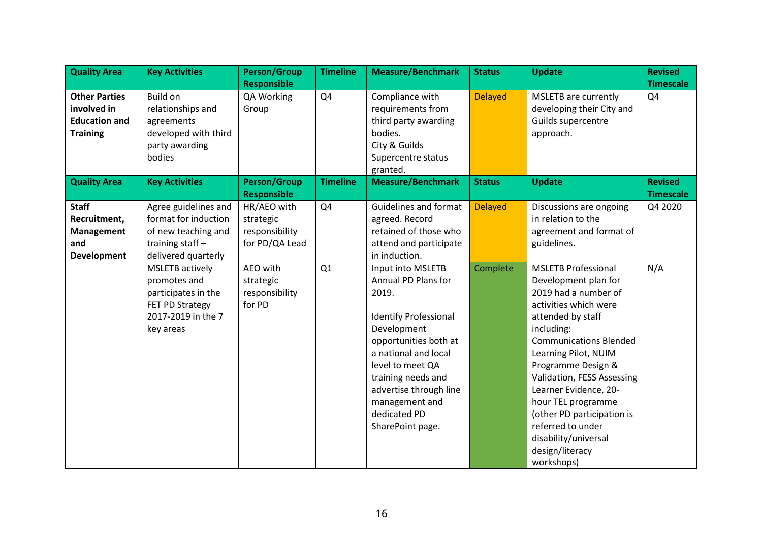| <b>Quality Area</b>                                                            | <b>Key Activities</b>                                                                                               | <b>Person/Group</b>                                          | <b>Timeline</b> | <b>Measure/Benchmark</b>                                                                                                                                                                                                                                                    | <b>Status</b>  | <b>Update</b>                                                                                                                                                                                                                                                                                                                                                                                                  | <b>Revised</b>                     |
|--------------------------------------------------------------------------------|---------------------------------------------------------------------------------------------------------------------|--------------------------------------------------------------|-----------------|-----------------------------------------------------------------------------------------------------------------------------------------------------------------------------------------------------------------------------------------------------------------------------|----------------|----------------------------------------------------------------------------------------------------------------------------------------------------------------------------------------------------------------------------------------------------------------------------------------------------------------------------------------------------------------------------------------------------------------|------------------------------------|
|                                                                                |                                                                                                                     | <b>Responsible</b>                                           |                 |                                                                                                                                                                                                                                                                             |                |                                                                                                                                                                                                                                                                                                                                                                                                                | <b>Timescale</b>                   |
| <b>Other Parties</b><br>involved in<br><b>Education and</b><br><b>Training</b> | Build on<br>relationships and<br>agreements<br>developed with third<br>party awarding<br>bodies                     | QA Working<br>Group                                          | Q4              | Compliance with<br>requirements from<br>third party awarding<br>bodies.<br>City & Guilds<br>Supercentre status<br>granted.                                                                                                                                                  | <b>Delayed</b> | <b>MSLETB</b> are currently<br>developing their City and<br>Guilds supercentre<br>approach.                                                                                                                                                                                                                                                                                                                    | Q4                                 |
| <b>Quality Area</b>                                                            | <b>Key Activities</b>                                                                                               | <b>Person/Group</b><br><b>Responsible</b>                    | <b>Timeline</b> | <b>Measure/Benchmark</b>                                                                                                                                                                                                                                                    | <b>Status</b>  | <b>Update</b>                                                                                                                                                                                                                                                                                                                                                                                                  | <b>Revised</b><br><b>Timescale</b> |
| <b>Staff</b><br>Recruitment,<br><b>Management</b><br>and<br>Development        | Agree guidelines and<br>format for induction<br>of new teaching and<br>training staff-<br>delivered quarterly       | HR/AEO with<br>strategic<br>responsibility<br>for PD/QA Lead | Q4              | <b>Guidelines and format</b><br>agreed. Record<br>retained of those who<br>attend and participate<br>in induction.                                                                                                                                                          | <b>Delayed</b> | Discussions are ongoing<br>in relation to the<br>agreement and format of<br>guidelines.                                                                                                                                                                                                                                                                                                                        | Q4 2020                            |
|                                                                                | <b>MSLETB</b> actively<br>promotes and<br>participates in the<br>FET PD Strategy<br>2017-2019 in the 7<br>key areas | AEO with<br>strategic<br>responsibility<br>for PD            | Q1              | Input into MSLETB<br>Annual PD Plans for<br>2019.<br><b>Identify Professional</b><br>Development<br>opportunities both at<br>a national and local<br>level to meet QA<br>training needs and<br>advertise through line<br>management and<br>dedicated PD<br>SharePoint page. | Complete       | <b>MSLETB Professional</b><br>Development plan for<br>2019 had a number of<br>activities which were<br>attended by staff<br>including:<br><b>Communications Blended</b><br>Learning Pilot, NUIM<br>Programme Design &<br>Validation, FESS Assessing<br>Learner Evidence, 20-<br>hour TEL programme<br>(other PD participation is<br>referred to under<br>disability/universal<br>design/literacy<br>workshops) | N/A                                |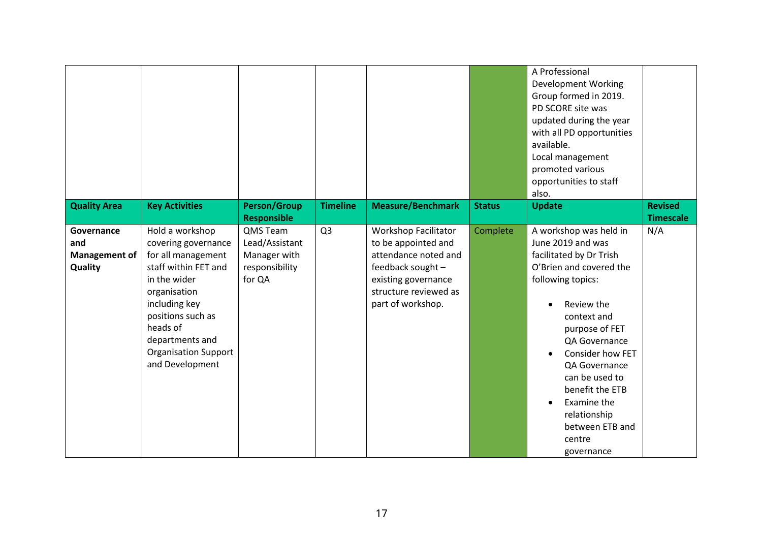|                                               |                                                                                                                                                                                                                                             |                                                                        |                 |                                                                                                                                                                      |               | A Professional<br><b>Development Working</b><br>Group formed in 2019.<br>PD SCORE site was<br>updated during the year<br>with all PD opportunities<br>available.<br>Local management<br>promoted various<br>opportunities to staff<br>also.                                                                                                |                                    |
|-----------------------------------------------|---------------------------------------------------------------------------------------------------------------------------------------------------------------------------------------------------------------------------------------------|------------------------------------------------------------------------|-----------------|----------------------------------------------------------------------------------------------------------------------------------------------------------------------|---------------|--------------------------------------------------------------------------------------------------------------------------------------------------------------------------------------------------------------------------------------------------------------------------------------------------------------------------------------------|------------------------------------|
| <b>Quality Area</b>                           | <b>Key Activities</b>                                                                                                                                                                                                                       | <b>Person/Group</b><br><b>Responsible</b>                              | <b>Timeline</b> | <b>Measure/Benchmark</b>                                                                                                                                             | <b>Status</b> | <b>Update</b>                                                                                                                                                                                                                                                                                                                              | <b>Revised</b><br><b>Timescale</b> |
| Governance<br>and<br>Management of<br>Quality | Hold a workshop<br>covering governance<br>for all management<br>staff within FET and<br>in the wider<br>organisation<br>including key<br>positions such as<br>heads of<br>departments and<br><b>Organisation Support</b><br>and Development | QMS Team<br>Lead/Assistant<br>Manager with<br>responsibility<br>for QA | Q <sub>3</sub>  | <b>Workshop Facilitator</b><br>to be appointed and<br>attendance noted and<br>feedback sought -<br>existing governance<br>structure reviewed as<br>part of workshop. | Complete      | A workshop was held in<br>June 2019 and was<br>facilitated by Dr Trish<br>O'Brien and covered the<br>following topics:<br>Review the<br>context and<br>purpose of FET<br>QA Governance<br>Consider how FET<br>QA Governance<br>can be used to<br>benefit the ETB<br>Examine the<br>relationship<br>between ETB and<br>centre<br>governance | N/A                                |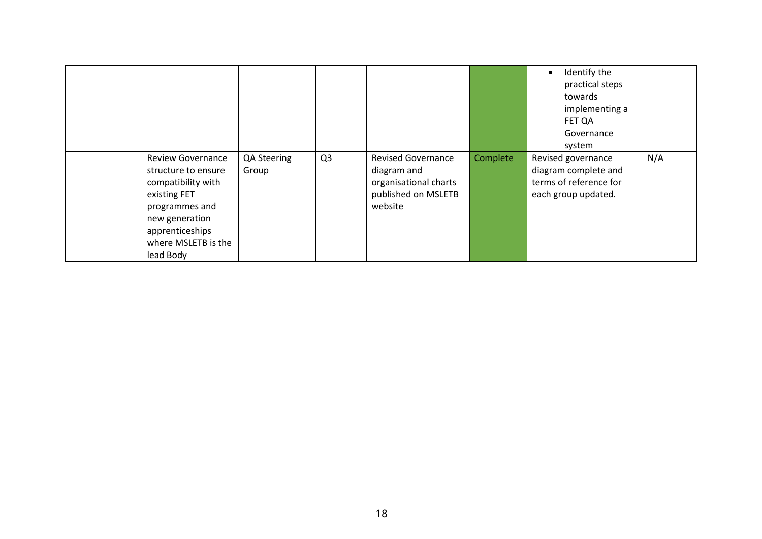|                                                                                                                                                                                  |                      |                |                                                                                                     |                 | Identify the<br>$\bullet$<br>practical steps<br>towards<br>implementing a<br>FET QA<br>Governance<br>system |     |
|----------------------------------------------------------------------------------------------------------------------------------------------------------------------------------|----------------------|----------------|-----------------------------------------------------------------------------------------------------|-----------------|-------------------------------------------------------------------------------------------------------------|-----|
| <b>Review Governance</b><br>structure to ensure<br>compatibility with<br>existing FET<br>programmes and<br>new generation<br>apprenticeships<br>where MSLETB is the<br>lead Body | QA Steering<br>Group | Q <sub>3</sub> | <b>Revised Governance</b><br>diagram and<br>organisational charts<br>published on MSLETB<br>website | <b>Complete</b> | Revised governance<br>diagram complete and<br>terms of reference for<br>each group updated.                 | N/A |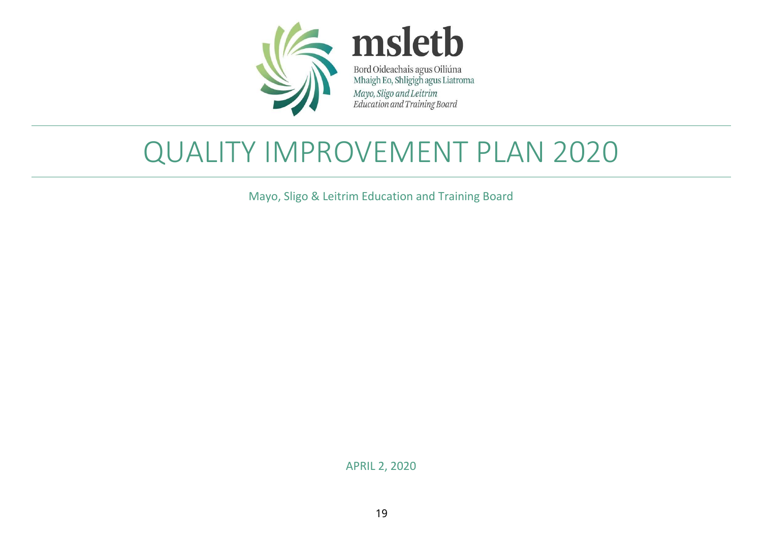

## QUALITY IMPROVEMENT PLAN 2020

Mayo, Sligo & Leitrim Education and Training Board

APRIL 2, 2020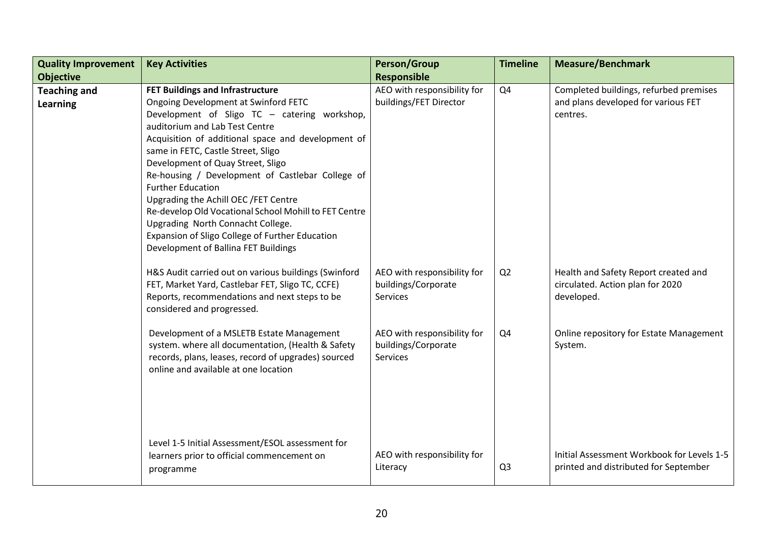| <b>Quality Improvement</b>             | <b>Key Activities</b>                                                                                                                                                                                                                                                                                                                                                                                                                                                                                                                                                                                        | <b>Person/Group</b>                                            | <b>Timeline</b> | <b>Measure/Benchmark</b>                                                                  |
|----------------------------------------|--------------------------------------------------------------------------------------------------------------------------------------------------------------------------------------------------------------------------------------------------------------------------------------------------------------------------------------------------------------------------------------------------------------------------------------------------------------------------------------------------------------------------------------------------------------------------------------------------------------|----------------------------------------------------------------|-----------------|-------------------------------------------------------------------------------------------|
| <b>Objective</b>                       |                                                                                                                                                                                                                                                                                                                                                                                                                                                                                                                                                                                                              | <b>Responsible</b>                                             |                 |                                                                                           |
| <b>Teaching and</b><br><b>Learning</b> | FET Buildings and Infrastructure<br>Ongoing Development at Swinford FETC<br>Development of Sligo TC - catering workshop,<br>auditorium and Lab Test Centre<br>Acquisition of additional space and development of<br>same in FETC, Castle Street, Sligo<br>Development of Quay Street, Sligo<br>Re-housing / Development of Castlebar College of<br><b>Further Education</b><br>Upgrading the Achill OEC /FET Centre<br>Re-develop Old Vocational School Mohill to FET Centre<br>Upgrading North Connacht College.<br>Expansion of Sligo College of Further Education<br>Development of Ballina FET Buildings | AEO with responsibility for<br>buildings/FET Director          | Q4              | Completed buildings, refurbed premises<br>and plans developed for various FET<br>centres. |
|                                        | H&S Audit carried out on various buildings (Swinford<br>FET, Market Yard, Castlebar FET, Sligo TC, CCFE)<br>Reports, recommendations and next steps to be<br>considered and progressed.                                                                                                                                                                                                                                                                                                                                                                                                                      | AEO with responsibility for<br>buildings/Corporate<br>Services | Q2              | Health and Safety Report created and<br>circulated. Action plan for 2020<br>developed.    |
|                                        | Development of a MSLETB Estate Management<br>system. where all documentation, (Health & Safety<br>records, plans, leases, record of upgrades) sourced<br>online and available at one location                                                                                                                                                                                                                                                                                                                                                                                                                | AEO with responsibility for<br>buildings/Corporate<br>Services | Q4              | Online repository for Estate Management<br>System.                                        |
|                                        | Level 1-5 Initial Assessment/ESOL assessment for<br>learners prior to official commencement on<br>programme                                                                                                                                                                                                                                                                                                                                                                                                                                                                                                  | AEO with responsibility for<br>Literacy                        | Q <sub>3</sub>  | Initial Assessment Workbook for Levels 1-5<br>printed and distributed for September       |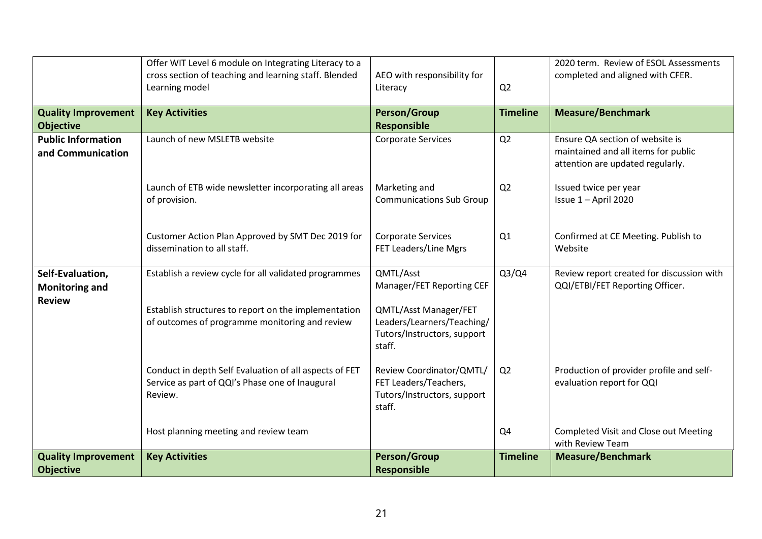|                                                            | Offer WIT Level 6 module on Integrating Literacy to a<br>cross section of teaching and learning staff. Blended<br>Learning model | AEO with responsibility for<br>Literacy                                                      | Q2              | 2020 term. Review of ESOL Assessments<br>completed and aligned with CFER.                                  |
|------------------------------------------------------------|----------------------------------------------------------------------------------------------------------------------------------|----------------------------------------------------------------------------------------------|-----------------|------------------------------------------------------------------------------------------------------------|
| <b>Quality Improvement</b><br><b>Objective</b>             | <b>Key Activities</b>                                                                                                            | <b>Person/Group</b><br><b>Responsible</b>                                                    | <b>Timeline</b> | <b>Measure/Benchmark</b>                                                                                   |
| <b>Public Information</b><br>and Communication             | Launch of new MSLETB website                                                                                                     | Corporate Services                                                                           | Q2              | Ensure QA section of website is<br>maintained and all items for public<br>attention are updated regularly. |
|                                                            | Launch of ETB wide newsletter incorporating all areas<br>of provision.                                                           | Marketing and<br><b>Communications Sub Group</b>                                             | Q <sub>2</sub>  | Issued twice per year<br>Issue 1 - April 2020                                                              |
|                                                            | Customer Action Plan Approved by SMT Dec 2019 for<br>dissemination to all staff.                                                 | <b>Corporate Services</b><br>FET Leaders/Line Mgrs                                           | Q1              | Confirmed at CE Meeting. Publish to<br>Website                                                             |
| Self-Evaluation,<br><b>Monitoring and</b><br><b>Review</b> | Establish a review cycle for all validated programmes                                                                            | QMTL/Asst<br>Manager/FET Reporting CEF                                                       | Q3/Q4           | Review report created for discussion with<br>QQI/ETBI/FET Reporting Officer.                               |
|                                                            | Establish structures to report on the implementation<br>of outcomes of programme monitoring and review                           | QMTL/Asst Manager/FET<br>Leaders/Learners/Teaching/<br>Tutors/Instructors, support<br>staff. |                 |                                                                                                            |
|                                                            | Conduct in depth Self Evaluation of all aspects of FET<br>Service as part of QQI's Phase one of Inaugural<br>Review.             | Review Coordinator/QMTL/<br>FET Leaders/Teachers,<br>Tutors/Instructors, support<br>staff.   | Q <sub>2</sub>  | Production of provider profile and self-<br>evaluation report for QQI                                      |
|                                                            | Host planning meeting and review team                                                                                            |                                                                                              | Q <sub>4</sub>  | <b>Completed Visit and Close out Meeting</b><br>with Review Team                                           |
| <b>Quality Improvement</b><br><b>Objective</b>             | <b>Key Activities</b>                                                                                                            | <b>Person/Group</b><br>Responsible                                                           | <b>Timeline</b> | <b>Measure/Benchmark</b>                                                                                   |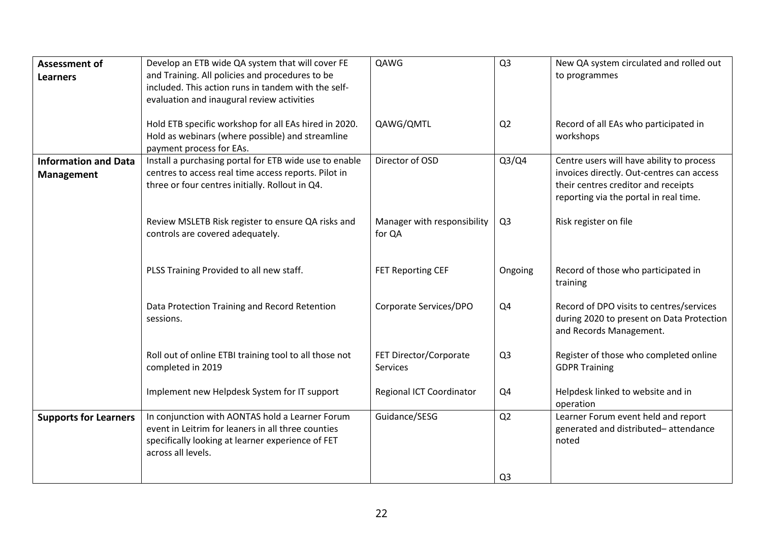| <b>Assessment of</b>         | Develop an ETB wide QA system that will cover FE                                   | QAWG                        | Q <sub>3</sub> | New QA system circulated and rolled out         |
|------------------------------|------------------------------------------------------------------------------------|-----------------------------|----------------|-------------------------------------------------|
| <b>Learners</b>              | and Training. All policies and procedures to be                                    |                             |                | to programmes                                   |
|                              | included. This action runs in tandem with the self-                                |                             |                |                                                 |
|                              | evaluation and inaugural review activities                                         |                             |                |                                                 |
|                              |                                                                                    |                             |                |                                                 |
|                              | Hold ETB specific workshop for all EAs hired in 2020.                              | QAWG/QMTL                   | Q <sub>2</sub> | Record of all EAs who participated in           |
|                              | Hold as webinars (where possible) and streamline                                   |                             |                | workshops                                       |
| <b>Information and Data</b>  | payment process for EAs.<br>Install a purchasing portal for ETB wide use to enable | Director of OSD             | Q3/Q4          | Centre users will have ability to process       |
|                              | centres to access real time access reports. Pilot in                               |                             |                | invoices directly. Out-centres can access       |
| <b>Management</b>            | three or four centres initially. Rollout in Q4.                                    |                             |                | their centres creditor and receipts             |
|                              |                                                                                    |                             |                | reporting via the portal in real time.          |
|                              |                                                                                    |                             |                |                                                 |
|                              | Review MSLETB Risk register to ensure QA risks and                                 | Manager with responsibility | Q <sub>3</sub> | Risk register on file                           |
|                              | controls are covered adequately.                                                   | for QA                      |                |                                                 |
|                              |                                                                                    |                             |                |                                                 |
|                              |                                                                                    |                             |                |                                                 |
|                              | PLSS Training Provided to all new staff.                                           | FET Reporting CEF           | Ongoing        | Record of those who participated in<br>training |
|                              |                                                                                    |                             |                |                                                 |
|                              | Data Protection Training and Record Retention                                      | Corporate Services/DPO      | Q4             | Record of DPO visits to centres/services        |
|                              | sessions.                                                                          |                             |                | during 2020 to present on Data Protection       |
|                              |                                                                                    |                             |                | and Records Management.                         |
|                              |                                                                                    |                             |                |                                                 |
|                              | Roll out of online ETBI training tool to all those not                             | FET Director/Corporate      | Q <sub>3</sub> | Register of those who completed online          |
|                              | completed in 2019                                                                  | Services                    |                | <b>GDPR Training</b>                            |
|                              | Implement new Helpdesk System for IT support                                       | Regional ICT Coordinator    | Q4             | Helpdesk linked to website and in               |
|                              |                                                                                    |                             |                | operation                                       |
| <b>Supports for Learners</b> | In conjunction with AONTAS hold a Learner Forum                                    | Guidance/SESG               | Q <sub>2</sub> | Learner Forum event held and report             |
|                              | event in Leitrim for leaners in all three counties                                 |                             |                | generated and distributed-attendance            |
|                              | specifically looking at learner experience of FET                                  |                             |                | noted                                           |
|                              | across all levels.                                                                 |                             |                |                                                 |
|                              |                                                                                    |                             |                |                                                 |
|                              |                                                                                    |                             | Q <sub>3</sub> |                                                 |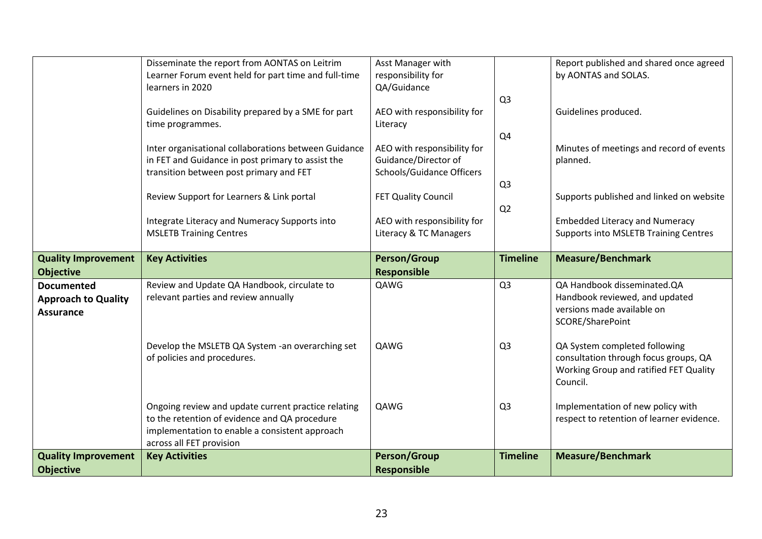|                                                | Disseminate the report from AONTAS on Leitrim<br>Learner Forum event held for part time and full-time | Asst Manager with<br>responsibility for               |                 | Report published and shared once agreed<br>by AONTAS and SOLAS.                       |
|------------------------------------------------|-------------------------------------------------------------------------------------------------------|-------------------------------------------------------|-----------------|---------------------------------------------------------------------------------------|
|                                                | learners in 2020                                                                                      | QA/Guidance                                           |                 |                                                                                       |
|                                                | Guidelines on Disability prepared by a SME for part                                                   | AEO with responsibility for                           | Q <sub>3</sub>  | Guidelines produced.                                                                  |
|                                                | time programmes.                                                                                      | Literacy                                              | Q4              |                                                                                       |
|                                                | Inter organisational collaborations between Guidance                                                  | AEO with responsibility for                           |                 | Minutes of meetings and record of events                                              |
|                                                | in FET and Guidance in post primary to assist the<br>transition between post primary and FET          | Guidance/Director of<br>Schools/Guidance Officers     |                 | planned.                                                                              |
|                                                |                                                                                                       |                                                       | Q <sub>3</sub>  |                                                                                       |
|                                                | Review Support for Learners & Link portal                                                             | FET Quality Council                                   | Q <sub>2</sub>  | Supports published and linked on website                                              |
|                                                | Integrate Literacy and Numeracy Supports into<br><b>MSLETB Training Centres</b>                       | AEO with responsibility for<br>Literacy & TC Managers |                 | <b>Embedded Literacy and Numeracy</b><br><b>Supports into MSLETB Training Centres</b> |
|                                                |                                                                                                       |                                                       |                 |                                                                                       |
| <b>Quality Improvement</b><br><b>Objective</b> | <b>Key Activities</b>                                                                                 | <b>Person/Group</b><br><b>Responsible</b>             | <b>Timeline</b> | <b>Measure/Benchmark</b>                                                              |
| <b>Documented</b>                              | Review and Update QA Handbook, circulate to                                                           | QAWG                                                  | Q <sub>3</sub>  | QA Handbook disseminated.QA                                                           |
| <b>Approach to Quality</b><br><b>Assurance</b> | relevant parties and review annually                                                                  |                                                       |                 | Handbook reviewed, and updated<br>versions made available on                          |
|                                                |                                                                                                       |                                                       |                 | SCORE/SharePoint                                                                      |
|                                                | Develop the MSLETB QA System -an overarching set                                                      | QAWG                                                  |                 |                                                                                       |
|                                                |                                                                                                       |                                                       | Q <sub>3</sub>  | QA System completed following                                                         |
|                                                | of policies and procedures.                                                                           |                                                       |                 | consultation through focus groups, QA                                                 |
|                                                |                                                                                                       |                                                       |                 | Working Group and ratified FET Quality<br>Council.                                    |
|                                                | Ongoing review and update current practice relating                                                   | QAWG                                                  | Q <sub>3</sub>  | Implementation of new policy with                                                     |
|                                                | to the retention of evidence and QA procedure                                                         |                                                       |                 | respect to retention of learner evidence.                                             |
|                                                | implementation to enable a consistent approach<br>across all FET provision                            | <b>Person/Group</b>                                   |                 | <b>Measure/Benchmark</b>                                                              |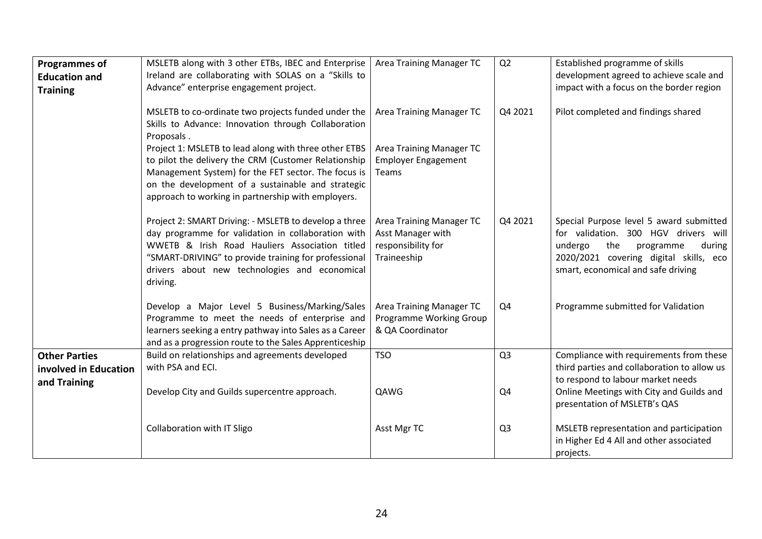| <b>Programmes of</b><br><b>Education and</b>                  | MSLETB along with 3 other ETBs, IBEC and Enterprise<br>Ireland are collaborating with SOLAS on a "Skills to                                                                                                                                                                        | Area Training Manager TC                                                           | Q2             | Established programme of skills<br>development agreed to achieve scale and                                                                                                                               |
|---------------------------------------------------------------|------------------------------------------------------------------------------------------------------------------------------------------------------------------------------------------------------------------------------------------------------------------------------------|------------------------------------------------------------------------------------|----------------|----------------------------------------------------------------------------------------------------------------------------------------------------------------------------------------------------------|
| <b>Training</b>                                               | Advance" enterprise engagement project.                                                                                                                                                                                                                                            |                                                                                    |                | impact with a focus on the border region                                                                                                                                                                 |
|                                                               | MSLETB to co-ordinate two projects funded under the<br>Skills to Advance: Innovation through Collaboration<br>Proposals.                                                                                                                                                           | Area Training Manager TC                                                           | Q4 2021        | Pilot completed and findings shared                                                                                                                                                                      |
|                                                               | Project 1: MSLETB to lead along with three other ETBS<br>to pilot the delivery the CRM (Customer Relationship<br>Management System) for the FET sector. The focus is<br>on the development of a sustainable and strategic<br>approach to working in partnership with employers.    | Area Training Manager TC<br><b>Employer Engagement</b><br>Teams                    |                |                                                                                                                                                                                                          |
|                                                               | Project 2: SMART Driving: - MSLETB to develop a three<br>day programme for validation in collaboration with<br>WWETB & Irish Road Hauliers Association titled<br>"SMART-DRIVING" to provide training for professional<br>drivers about new technologies and economical<br>driving. | Area Training Manager TC<br>Asst Manager with<br>responsibility for<br>Traineeship | Q4 2021        | Special Purpose level 5 award submitted<br>for validation. 300 HGV drivers will<br>the<br>undergo<br>programme<br>during<br>2020/2021 covering digital skills, eco<br>smart, economical and safe driving |
|                                                               | Develop a Major Level 5 Business/Marking/Sales<br>Programme to meet the needs of enterprise and<br>learners seeking a entry pathway into Sales as a Career<br>and as a progression route to the Sales Apprenticeship                                                               | Area Training Manager TC<br>Programme Working Group<br>& QA Coordinator            | Q4             | Programme submitted for Validation                                                                                                                                                                       |
| <b>Other Parties</b><br>involved in Education<br>and Training | Build on relationships and agreements developed<br>with PSA and ECI.                                                                                                                                                                                                               | <b>TSO</b>                                                                         | Q <sub>3</sub> | Compliance with requirements from these<br>third parties and collaboration to allow us<br>to respond to labour market needs                                                                              |
|                                                               | Develop City and Guilds supercentre approach.                                                                                                                                                                                                                                      | QAWG                                                                               | Q4             | Online Meetings with City and Guilds and<br>presentation of MSLETB's QAS                                                                                                                                 |
|                                                               | Collaboration with IT Sligo                                                                                                                                                                                                                                                        | Asst Mgr TC                                                                        | Q <sub>3</sub> | MSLETB representation and participation<br>in Higher Ed 4 All and other associated<br>projects.                                                                                                          |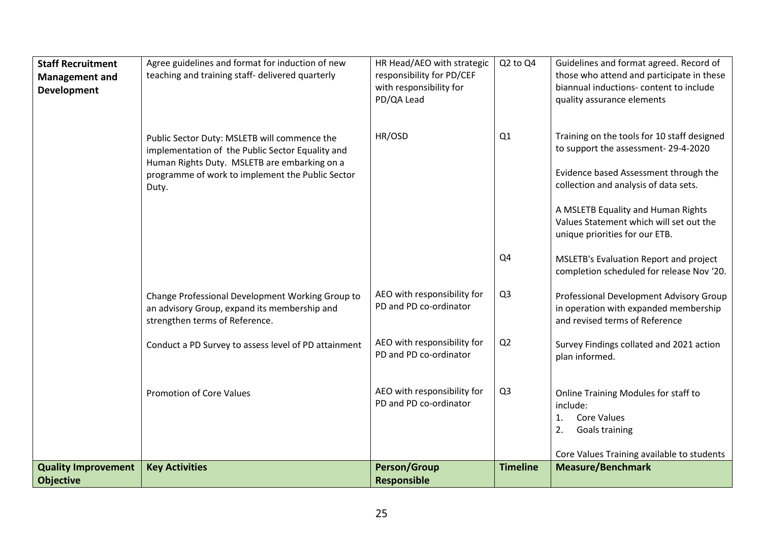| <b>Staff Recruitment</b><br><b>Management and</b><br><b>Development</b> | Agree guidelines and format for induction of new<br>teaching and training staff- delivered quarterly                                             | HR Head/AEO with strategic<br>responsibility for PD/CEF<br>with responsibility for<br>PD/QA Lead | Q2 to Q4        | Guidelines and format agreed. Record of<br>those who attend and participate in these<br>biannual inductions- content to include<br>quality assurance elements |
|-------------------------------------------------------------------------|--------------------------------------------------------------------------------------------------------------------------------------------------|--------------------------------------------------------------------------------------------------|-----------------|---------------------------------------------------------------------------------------------------------------------------------------------------------------|
|                                                                         | Public Sector Duty: MSLETB will commence the<br>implementation of the Public Sector Equality and<br>Human Rights Duty. MSLETB are embarking on a | HR/OSD                                                                                           | Q1              | Training on the tools for 10 staff designed<br>to support the assessment-29-4-2020                                                                            |
|                                                                         | programme of work to implement the Public Sector<br>Duty.                                                                                        |                                                                                                  |                 | Evidence based Assessment through the<br>collection and analysis of data sets.                                                                                |
|                                                                         |                                                                                                                                                  |                                                                                                  |                 | A MSLETB Equality and Human Rights<br>Values Statement which will set out the<br>unique priorities for our ETB.                                               |
|                                                                         |                                                                                                                                                  |                                                                                                  | Q <sub>4</sub>  | MSLETB's Evaluation Report and project<br>completion scheduled for release Nov '20.                                                                           |
|                                                                         | Change Professional Development Working Group to<br>an advisory Group, expand its membership and<br>strengthen terms of Reference.               | AEO with responsibility for<br>PD and PD co-ordinator                                            | Q <sub>3</sub>  | Professional Development Advisory Group<br>in operation with expanded membership<br>and revised terms of Reference                                            |
|                                                                         | Conduct a PD Survey to assess level of PD attainment                                                                                             | AEO with responsibility for<br>PD and PD co-ordinator                                            | Q2              | Survey Findings collated and 2021 action<br>plan informed.                                                                                                    |
|                                                                         | <b>Promotion of Core Values</b>                                                                                                                  | AEO with responsibility for<br>PD and PD co-ordinator                                            | Q <sub>3</sub>  | Online Training Modules for staff to<br>include:<br><b>Core Values</b><br>1.<br>Goals training<br>2.                                                          |
|                                                                         |                                                                                                                                                  |                                                                                                  |                 | Core Values Training available to students                                                                                                                    |
| <b>Quality Improvement</b><br><b>Objective</b>                          | <b>Key Activities</b>                                                                                                                            | <b>Person/Group</b><br><b>Responsible</b>                                                        | <b>Timeline</b> | <b>Measure/Benchmark</b>                                                                                                                                      |